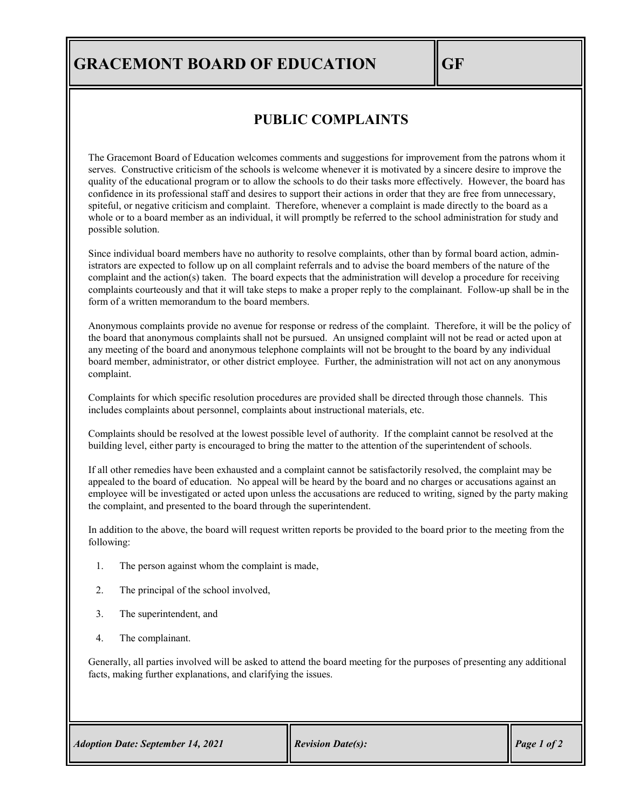## **GRACEMONT BOARD OF EDUCATION GF**

## **PUBLIC COMPLAINTS**

The Gracemont Board of Education welcomes comments and suggestions for improvement from the patrons whom it serves. Constructive criticism of the schools is welcome whenever it is motivated by a sincere desire to improve the quality of the educational program or to allow the schools to do their tasks more effectively. However, the board has confidence in its professional staff and desires to support their actions in order that they are free from unnecessary, spiteful, or negative criticism and complaint. Therefore, whenever a complaint is made directly to the board as a whole or to a board member as an individual, it will promptly be referred to the school administration for study and possible solution.

Since individual board members have no authority to resolve complaints, other than by formal board action, administrators are expected to follow up on all complaint referrals and to advise the board members of the nature of the complaint and the action(s) taken. The board expects that the administration will develop a procedure for receiving complaints courteously and that it will take steps to make a proper reply to the complainant. Follow-up shall be in the form of a written memorandum to the board members.

Anonymous complaints provide no avenue for response or redress of the complaint. Therefore, it will be the policy of the board that anonymous complaints shall not be pursued. An unsigned complaint will not be read or acted upon at any meeting of the board and anonymous telephone complaints will not be brought to the board by any individual board member, administrator, or other district employee. Further, the administration will not act on any anonymous complaint.

Complaints for which specific resolution procedures are provided shall be directed through those channels. This includes complaints about personnel, complaints about instructional materials, etc.

Complaints should be resolved at the lowest possible level of authority. If the complaint cannot be resolved at the building level, either party is encouraged to bring the matter to the attention of the superintendent of schools.

If all other remedies have been exhausted and a complaint cannot be satisfactorily resolved, the complaint may be appealed to the board of education. No appeal will be heard by the board and no charges or accusations against an employee will be investigated or acted upon unless the accusations are reduced to writing, signed by the party making the complaint, and presented to the board through the superintendent.

In addition to the above, the board will request written reports be provided to the board prior to the meeting from the following:

- 1. The person against whom the complaint is made,
- 2. The principal of the school involved,
- 3. The superintendent, and
- 4. The complainant.

Generally, all parties involved will be asked to attend the board meeting for the purposes of presenting any additional facts, making further explanations, and clarifying the issues.